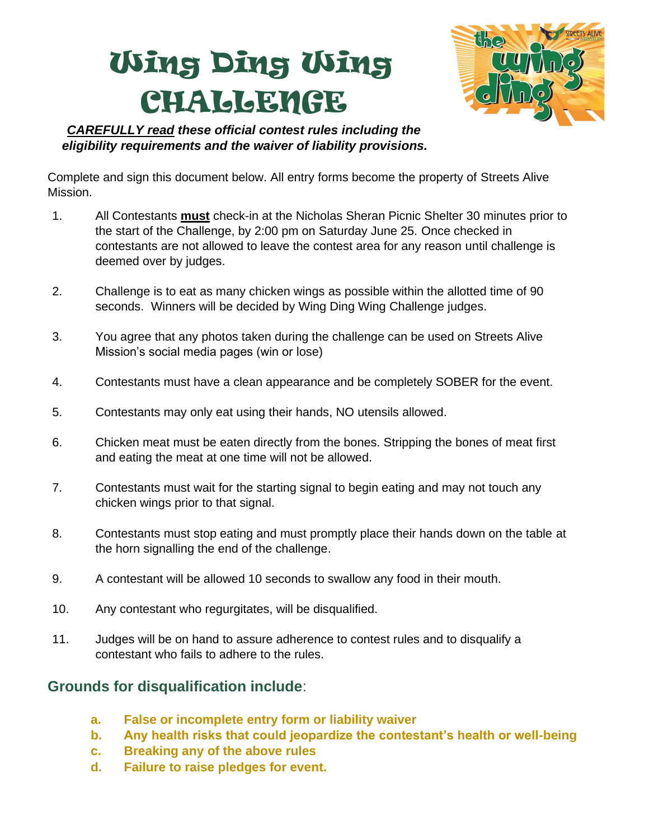## Wing Ding Wing CHALLENGE



*CAREFULLY read these official contest rules including the eligibility requirements and the waiver of liability provisions.*

Complete and sign this document below. All entry forms become the property of Streets Alive Mission.

- 1. All Contestants **must** check-in at the Nicholas Sheran Picnic Shelter 30 minutes prior to the start of the Challenge, by 2:00 pm on Saturday June 25. Once checked in contestants are not allowed to leave the contest area for any reason until challenge is deemed over by judges.
- 2. Challenge is to eat as many chicken wings as possible within the allotted time of 90 seconds. Winners will be decided by Wing Ding Wing Challenge judges.
- 3. You agree that any photos taken during the challenge can be used on Streets Alive Mission's social media pages (win or lose)
- 4. Contestants must have a clean appearance and be completely SOBER for the event.
- 5. Contestants may only eat using their hands, NO utensils allowed.
- 6. Chicken meat must be eaten directly from the bones. Stripping the bones of meat first and eating the meat at one time will not be allowed.
- 7. Contestants must wait for the starting signal to begin eating and may not touch any chicken wings prior to that signal.
- 8. Contestants must stop eating and must promptly place their hands down on the table at the horn signalling the end of the challenge.
- 9. A contestant will be allowed 10 seconds to swallow any food in their mouth.
- 10. Any contestant who regurgitates, will be disqualified.
- 11. Judges will be on hand to assure adherence to contest rules and to disqualify a contestant who fails to adhere to the rules.

## **Grounds for disqualification include**:

- **a. False or incomplete entry form or liability waiver**
- **b. Any health risks that could jeopardize the contestant's health or well-being**
- **c. Breaking any of the above rules**
- **d. Failure to raise pledges for event.**